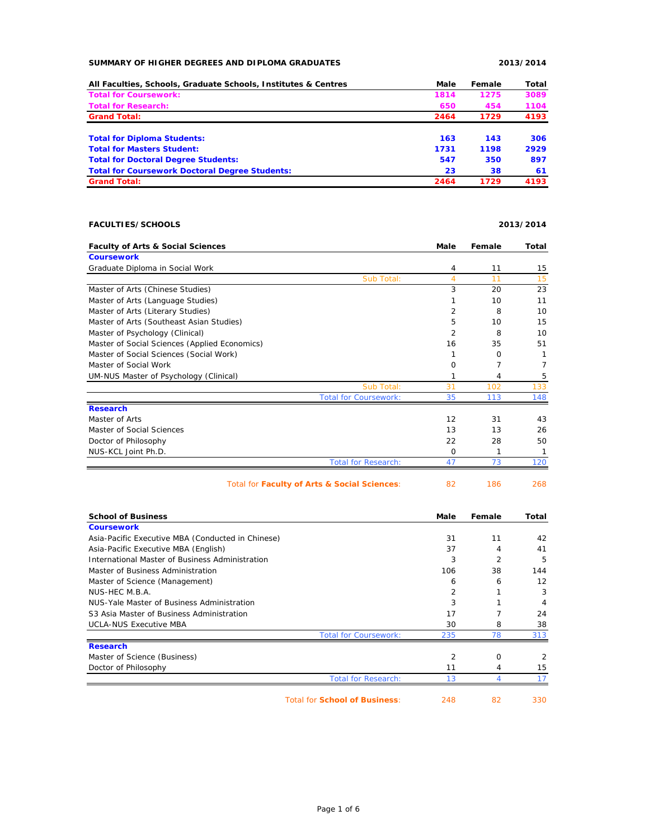## **SUMMARY OF HIGHER DEGREES AND DIPLOMA GRADUATES 2013/2014**

| All Faculties, Schools, Graduate Schools, Institutes & Centres | Male | Female | Total |
|----------------------------------------------------------------|------|--------|-------|
| <b>Total for Coursework:</b>                                   | 1814 | 1275   | 3089  |
| <b>Total for Research:</b>                                     | 650  | 454    | 1104  |
| <b>Grand Total:</b>                                            | 2464 | 1729   | 4193  |
| <b>Total for Diploma Students:</b>                             | 163  | 143    | 306   |
| <b>Total for Masters Student:</b>                              | 1731 | 1198   | 2929  |
| <b>Total for Doctoral Degree Students:</b>                     | 547  | 350    | 897   |
| <b>Total for Coursework Doctoral Degree Students:</b>          | 23   | 38     | 61    |
| <b>Grand Total:</b>                                            | 2464 | 1729   | 4193  |

## **FACULTIES/SCHOOLS 2013/2014**

| <b>Faculty of Arts &amp; Social Sciences</b>  | Male | Female | Total |
|-----------------------------------------------|------|--------|-------|
| <b>Coursework</b>                             |      |        |       |
| Graduate Diploma in Social Work               | 4    | 11     | 15    |
| Sub Total:                                    | 4    | 11     | 15    |
| Master of Arts (Chinese Studies)              | 3    | 20     | 23    |
| Master of Arts (Language Studies)             |      | 10     | 11    |
| Master of Arts (Literary Studies)             | 2    | 8      | 10    |
| Master of Arts (Southeast Asian Studies)      | 5    | 10     | 15    |
| Master of Psychology (Clinical)               | 2    | 8      | 10    |
| Master of Social Sciences (Applied Economics) | 16   | 35     | 51    |
| Master of Social Sciences (Social Work)       |      | 0      |       |
| Master of Social Work                         | 0    | 7      |       |
| UM-NUS Master of Psychology (Clinical)        |      | 4      | 5     |
| Sub Total:                                    | 31   | 102    | 133   |
| <b>Total for Coursework:</b>                  | 35   | 113    | 148   |
| <b>Research</b>                               |      |        |       |
| Master of Arts                                | 12   | 31     | 43    |
| Master of Social Sciences                     | 13   | 13     | 26    |
| Doctor of Philosophy                          | 22   | 28     | 50    |
| NUS-KCL Joint Ph.D.                           | 0    | 1      | 1     |
| <b>Total for Research:</b>                    | 47   | 73     | 120   |
| Total for Faculty of Arts & Social Sciences:  | 82   | 186    | 268   |

| <b>School of Business</b>                         |                                      | Male           | Female         | Total |
|---------------------------------------------------|--------------------------------------|----------------|----------------|-------|
| <b>Coursework</b>                                 |                                      |                |                |       |
| Asia-Pacific Executive MBA (Conducted in Chinese) |                                      | 31             | 11             | 42    |
| Asia-Pacific Executive MBA (English)              |                                      | 37             | 4              | 41    |
| International Master of Business Administration   |                                      | 3              | $\overline{2}$ | 5     |
| Master of Business Administration                 |                                      | 106            | 38             | 144   |
| Master of Science (Management)                    |                                      | 6              | 6              | 12    |
| NUS-HEC M.B.A.                                    |                                      | 2              |                | 3     |
| NUS-Yale Master of Business Administration        |                                      | 3              |                | 4     |
| S3 Asia Master of Business Administration         |                                      | 17             |                | 24    |
| <b>UCLA-NUS Executive MBA</b>                     |                                      | 30             | 8              | 38    |
|                                                   | <b>Total for Coursework:</b>         | 235            | 78             | 313   |
| <b>Research</b>                                   |                                      |                |                |       |
| Master of Science (Business)                      |                                      | $\overline{2}$ | 0              | 2     |
| Doctor of Philosophy                              |                                      | 11             | 4              | 15    |
|                                                   | <b>Total for Research:</b>           | 13             | 4              |       |
|                                                   | <b>Total for School of Business:</b> | 248            | 82             | 330   |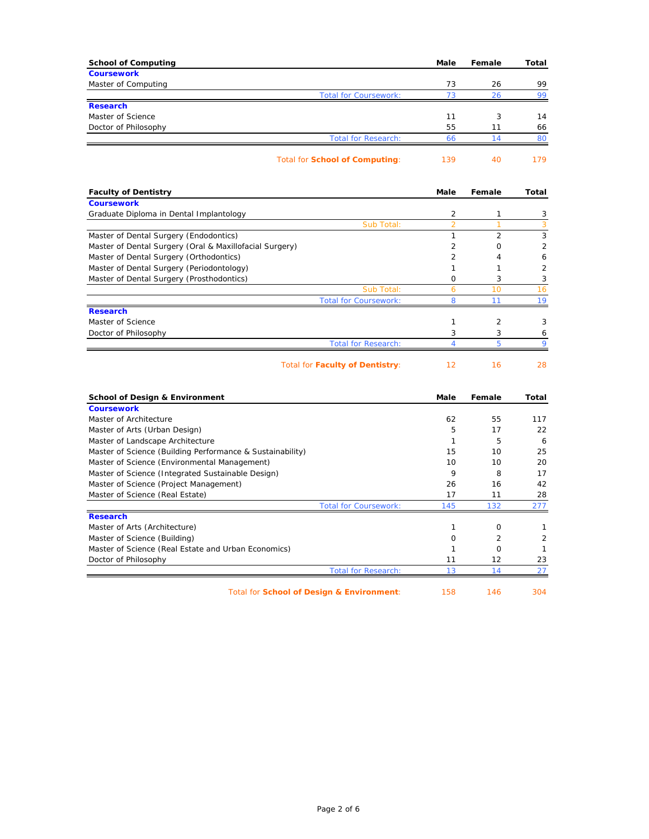| <b>School of Computing</b> |                                | Male | Female | Total |
|----------------------------|--------------------------------|------|--------|-------|
| <b>Coursework</b>          |                                |      |        |       |
| Master of Computing        |                                | 73   | 26     | 99    |
|                            | <b>Total for Coursework:</b>   | 73   | 26     | 99    |
| <b>Research</b>            |                                |      |        |       |
| Master of Science          |                                | 11   | 3      | 14    |
| Doctor of Philosophy       |                                | 55   | 11     | 66    |
|                            | <b>Total for Research:</b>     | 66   | 14     | 80    |
|                            | Total for School of Computing: | 139  | 40     | 179   |

| <b>Faculty of Dentistry</b>                             |                              | Male           | Female         | Total |
|---------------------------------------------------------|------------------------------|----------------|----------------|-------|
| <b>Coursework</b>                                       |                              |                |                |       |
| Graduate Diploma in Dental Implantology                 |                              | $\overline{2}$ |                | 3     |
|                                                         | Sub Total:                   |                |                | 3     |
| Master of Dental Surgery (Endodontics)                  |                              |                | $\overline{2}$ | 3     |
| Master of Dental Surgery (Oral & Maxillofacial Surgery) |                              |                | Ω              | 2     |
| Master of Dental Surgery (Orthodontics)                 |                              | 2              | 4              | 6     |
| Master of Dental Surgery (Periodontology)               |                              |                |                | 2     |
| Master of Dental Surgery (Prosthodontics)               |                              | <sup>o</sup>   | 3              | 3     |
|                                                         | Sub Total:                   | 6              | 10             | 16    |
|                                                         | <b>Total for Coursework:</b> | 8              |                | 19    |
| <b>Research</b>                                         |                              |                |                |       |
| Master of Science                                       |                              |                | 2              | 3     |
| Doctor of Philosophy                                    |                              | 3              | 3              | 6     |
|                                                         | <b>Total for Research:</b>   |                |                |       |

Total for **Faculty of Dentistry**: 12 16 28

| <b>School of Design &amp; Environment</b>                 | Male | Female         | Total |
|-----------------------------------------------------------|------|----------------|-------|
| <b>Coursework</b>                                         |      |                |       |
| Master of Architecture                                    | 62   | 55             | 117   |
| Master of Arts (Urban Design)                             | 5    | 17             | 22    |
| Master of Landscape Architecture                          |      | 5              | 6     |
| Master of Science (Building Performance & Sustainability) | 15   | 10             | 25    |
| Master of Science (Environmental Management)              | 10   | 10             | 20    |
| Master of Science (Integrated Sustainable Design)         | 9    | 8              | 17    |
| Master of Science (Project Management)                    | 26   | 16             | 42    |
| Master of Science (Real Estate)                           | 17   | 11             | 28    |
| <b>Total for Coursework:</b>                              | 145  | 132            | 277   |
| <b>Research</b>                                           |      |                |       |
| Master of Arts (Architecture)                             |      | $\Omega$       |       |
| Master of Science (Building)                              | O    | $\overline{2}$ | 2     |
| Master of Science (Real Estate and Urban Economics)       |      | $\Omega$       |       |
| Doctor of Philosophy                                      | 11   | 12             | 23    |
| <b>Total for Research:</b>                                | 13   | 14             | 27    |
| Total for School of Design & Environment:                 | 158  | 146            | 304   |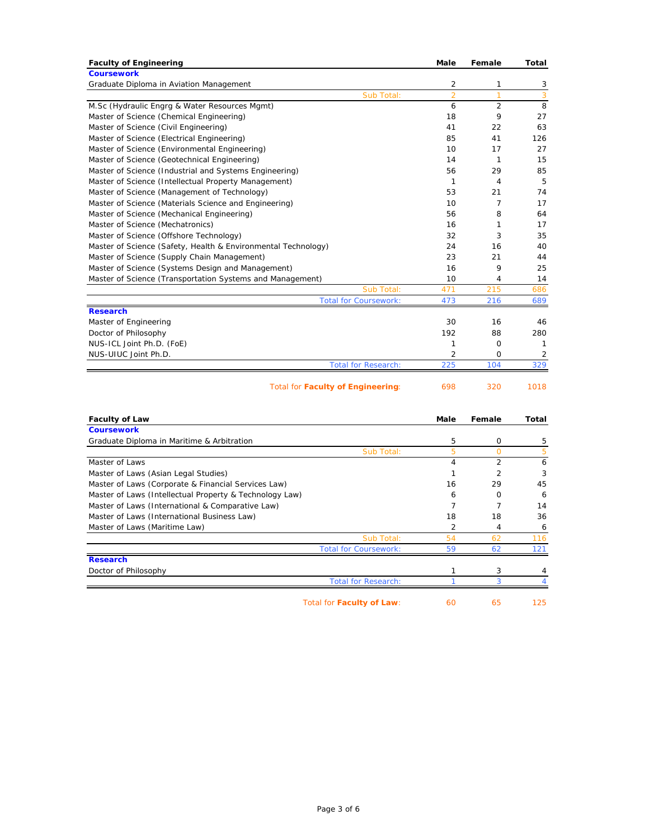| <b>Faculty of Engineering</b>                                 | Male           | Female         | Total          |
|---------------------------------------------------------------|----------------|----------------|----------------|
| <b>Coursework</b>                                             |                |                |                |
| Graduate Diploma in Aviation Management                       | 2              | 1              | 3              |
| Sub Total:                                                    | $\overline{2}$ | 1              | 3              |
| M.Sc (Hydraulic Engrg & Water Resources Mgmt)                 | 6              | $\overline{2}$ | 8              |
| Master of Science (Chemical Engineering)                      | 18             | 9              | 27             |
| Master of Science (Civil Engineering)                         | 41             | 22             | 63             |
| Master of Science (Electrical Engineering)                    | 85             | 41             | 126            |
| Master of Science (Environmental Engineering)                 | 10             | 17             | 27             |
| Master of Science (Geotechnical Engineering)                  | 14             | $\mathbf{1}$   | 15             |
| Master of Science (Industrial and Systems Engineering)        | 56             | 29             | 85             |
| Master of Science (Intellectual Property Management)          | $\mathbf{1}$   | 4              | 5              |
| Master of Science (Management of Technology)                  | 53             | 21             | 74             |
| Master of Science (Materials Science and Engineering)         | 10             | 7              | 17             |
| Master of Science (Mechanical Engineering)                    | 56             | 8              | 64             |
| Master of Science (Mechatronics)                              | 16             | 1              | 17             |
| Master of Science (Offshore Technology)                       | 32             | 3              | 35             |
| Master of Science (Safety, Health & Environmental Technology) | 24             | 16             | 40             |
| Master of Science (Supply Chain Management)                   | 23             | 21             | 44             |
| Master of Science (Systems Design and Management)             | 16             | 9              | 25             |
| Master of Science (Transportation Systems and Management)     | 10             | 4              | 14             |
| Sub Total:                                                    | 471            | 215            | 686            |
| <b>Total for Coursework:</b>                                  | 473            | 216            | 689            |
| <b>Research</b>                                               |                |                |                |
| Master of Engineering                                         | 30             | 16             | 46             |
| Doctor of Philosophy                                          | 192            | 88             | 280            |
| NUS-ICL Joint Ph.D. (FoE)                                     | 1              | $\mathbf 0$    | $\mathbf{1}$   |
| NUS-UIUC Joint Ph.D.                                          | $\overline{2}$ | $\Omega$       | $\overline{2}$ |
| <b>Total for Research:</b>                                    | 225            | 104            | 329            |
| <b>Total for Faculty of Engineering:</b>                      | 698            | 320            | 1018           |
| <b>Faculty of Law</b>                                         | Male           | Female         | Total          |
| <b>Coursework</b>                                             |                |                |                |
| Graduate Diploma in Maritime & Arbitration                    | 5              | 0              | 5              |
| Sub Total:                                                    | 5              | $\overline{O}$ | 5              |
| Master of Laws                                                | 4              | $\overline{2}$ | 6              |
| Master of Laws (Asian Legal Studies)                          | $\mathbf{1}$   | $\overline{2}$ | 3              |
| Master of Laws (Corporate & Financial Services Law)           | 16             | 29             | 45             |
| Master of Laws (Intellectual Property & Technology Law)       | 6              | 0              | 6              |
| Master of Laws (International & Comparative Law)              | $\overline{7}$ | $\overline{7}$ | 14             |
| Master of Laws (International Business Law)                   | 18             | 18             | 36             |
| Master of Laws (Maritime Law)                                 | $\overline{2}$ | 4              | 6              |
| Sub Total:                                                    | 54             | 62             | 116            |
| <b>Total for Coursework</b>                                   | 59             | 62             | 121            |
| <b>Research</b>                                               |                |                |                |
| Doctor of Philosophy                                          | 1<br>1         | 3              | 4              |
| <b>Total for Research:</b>                                    |                | 3              | $\overline{4}$ |
| Total for Faculty of Law:                                     | 60             | 65             | 125            |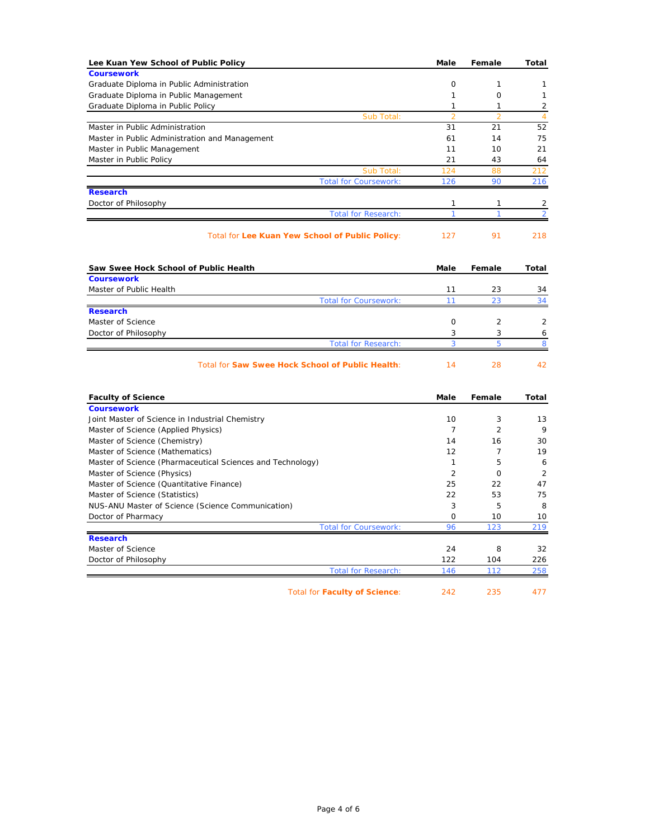| Lee Kuan Yew School of Public Policy                       | Male                 | Female              | Total                |
|------------------------------------------------------------|----------------------|---------------------|----------------------|
| <b>Coursework</b>                                          |                      |                     |                      |
| Graduate Diploma in Public Administration                  | $\circ$              | $\mathbf{1}$        | 1                    |
| Graduate Diploma in Public Management                      | $\mathbf{1}$         | $\circ$             | $\mathbf{1}$         |
| Graduate Diploma in Public Policy                          | 1                    | 1<br>$\overline{2}$ | $\overline{2}$       |
| Sub Total:<br>Master in Public Administration              | $\overline{2}$<br>31 | 21                  | $\overline{4}$<br>52 |
| Master in Public Administration and Management             | 61                   | 14                  | 75                   |
| Master in Public Management                                | 11                   | 10                  | 21                   |
| Master in Public Policy                                    | 21                   | 43                  | 64                   |
| Sub Total:                                                 | 124                  | 88                  | 212                  |
| <b>Total for Coursework:</b>                               | 126                  | 90                  | 216                  |
| <b>Research</b>                                            |                      |                     |                      |
| Doctor of Philosophy                                       | 1                    | 1                   | 2                    |
| <b>Total for Research:</b>                                 | 1                    | 1                   | $\overline{2}$       |
|                                                            |                      |                     |                      |
| Total for Lee Kuan Yew School of Public Policy:            | 127                  | 91                  | 218                  |
| Saw Swee Hock School of Public Health                      | Male                 | Female              | Total                |
| <b>Coursework</b>                                          |                      |                     |                      |
| Master of Public Health                                    | 11                   | 23                  | 34                   |
| <b>Total for Coursework:</b>                               | 11                   | 23                  | 34                   |
| <b>Research</b>                                            |                      |                     |                      |
| Master of Science                                          | $\circ$              | 2                   | $\overline{2}$       |
| Doctor of Philosophy                                       | 3                    | 3                   | 6                    |
| <b>Total for Research:</b>                                 | 3                    | 5                   | 8                    |
| <b>Total for Saw Swee Hock School of Public Health:</b>    | 14                   | 28                  | 42                   |
| <b>Faculty of Science</b>                                  | Male                 | Female              | Total                |
| <b>Coursework</b>                                          |                      |                     |                      |
| Joint Master of Science in Industrial Chemistry            | 10                   | 3                   | 13                   |
| Master of Science (Applied Physics)                        | $\overline{7}$       | $\overline{2}$      | 9                    |
| Master of Science (Chemistry)                              | 14                   | 16                  | 30                   |
| Master of Science (Mathematics)                            | 12                   | $\overline{7}$      | 19                   |
| Master of Science (Pharmaceutical Sciences and Technology) | 1                    | 5                   | 6                    |
| Master of Science (Physics)                                | $\overline{2}$       | $\mathbf 0$         | 2                    |
| Master of Science (Quantitative Finance)                   | 25                   | 22                  | 47                   |
| Master of Science (Statistics)                             | 22                   | 53                  | 75                   |
| NUS-ANU Master of Science (Science Communication)          | 3                    | 5                   | 8                    |
| Doctor of Pharmacy                                         | 0                    | 10                  | 10                   |
| <b>Total for Coursework:</b>                               | 96                   | 123                 | 219                  |
| <b>Research</b><br>Master of Science                       | 24                   | 8                   | 32                   |
|                                                            | 122                  | 104                 | 226                  |
| Doctor of Philosophy<br><b>Total for Research:</b>         | 146                  | 112                 | 258                  |
|                                                            |                      |                     |                      |
| <b>Total for Faculty of Science:</b>                       | 242                  | 235                 | 477                  |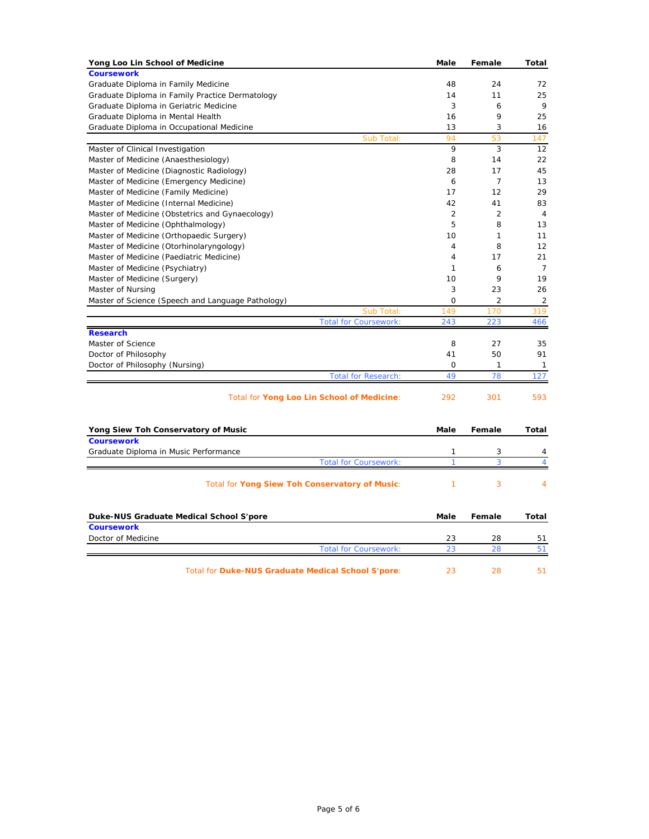| Yong Loo Lin School of Medicine                    | Male           | Female         | Total          |
|----------------------------------------------------|----------------|----------------|----------------|
| <b>Coursework</b>                                  |                |                |                |
| Graduate Diploma in Family Medicine                | 48             | 24             | 72             |
| Graduate Diploma in Family Practice Dermatology    | 14             | 11             | 25             |
| Graduate Diploma in Geriatric Medicine             | 3              | 6              | 9              |
| Graduate Diploma in Mental Health                  | 16             | 9              | 25             |
| Graduate Diploma in Occupational Medicine          | 13             | 3              | 16             |
| Sub Total:                                         | 94             | 53             | 147            |
| Master of Clinical Investigation                   | 9              | 3              | 12             |
| Master of Medicine (Anaesthesiology)               | 8              | 14             | 22             |
| Master of Medicine (Diagnostic Radiology)          | 28             | 17             | 45             |
| Master of Medicine (Emergency Medicine)            | 6              | $\overline{7}$ | 13             |
| Master of Medicine (Family Medicine)               | 17             | 12             | 29             |
| Master of Medicine (Internal Medicine)             | 42             | 41             | 83             |
| Master of Medicine (Obstetrics and Gynaecology)    | $\overline{2}$ | $\overline{2}$ | $\overline{4}$ |
| Master of Medicine (Ophthalmology)                 | 5              | 8              | 13             |
| Master of Medicine (Orthopaedic Surgery)           | 10             | 1              | 11             |
| Master of Medicine (Otorhinolaryngology)           | 4              | 8              | 12             |
| Master of Medicine (Paediatric Medicine)           | 4              | 17             | 21             |
| Master of Medicine (Psychiatry)                    | 1              | 6              | $\overline{7}$ |
| Master of Medicine (Surgery)                       | 10             | 9              | 19             |
| Master of Nursing                                  | 3              | 23             | 26             |
| Master of Science (Speech and Language Pathology)  | 0              | 2              | 2              |
| Sub Total:                                         | 149            | 170            | 319            |
| <b>Total for Coursework:</b>                       | 243            | 223            | 466            |
| <b>Research</b>                                    |                |                |                |
| Master of Science                                  | 8              | 27             | 35             |
| Doctor of Philosophy                               | 41             | 50             | 91             |
| Doctor of Philosophy (Nursing)                     | 0              | 1              | 1              |
| <b>Total for Research:</b>                         | 49             | 78             | 127            |
|                                                    |                |                |                |
| Total for Yong Loo Lin School of Medicine:         | 292            | 301            | 593            |
|                                                    |                |                |                |
| Yong Siew Toh Conservatory of Music                | Male           | Female         | Total          |
| <b>Coursework</b>                                  |                |                |                |
| Graduate Diploma in Music Performance              | 1              | 3              | 4              |
| <b>Total for Coursework:</b>                       | $\overline{1}$ | 3              | $\overline{4}$ |
| Total for Yong Siew Toh Conservatory of Music:     | 1              | 3              | 4              |
|                                                    |                |                |                |
| Duke-NUS Graduate Medical School S'pore            | Male           | Female         | Total          |
| <b>Coursework</b>                                  |                |                |                |
| Doctor of Medicine                                 | 23             | 28             | 51             |
| <b>Total for Coursework:</b>                       | 23             | 28             | 51             |
| Total for Duke-NUS Graduate Medical School S'pore: | 23             | 28             | 51             |